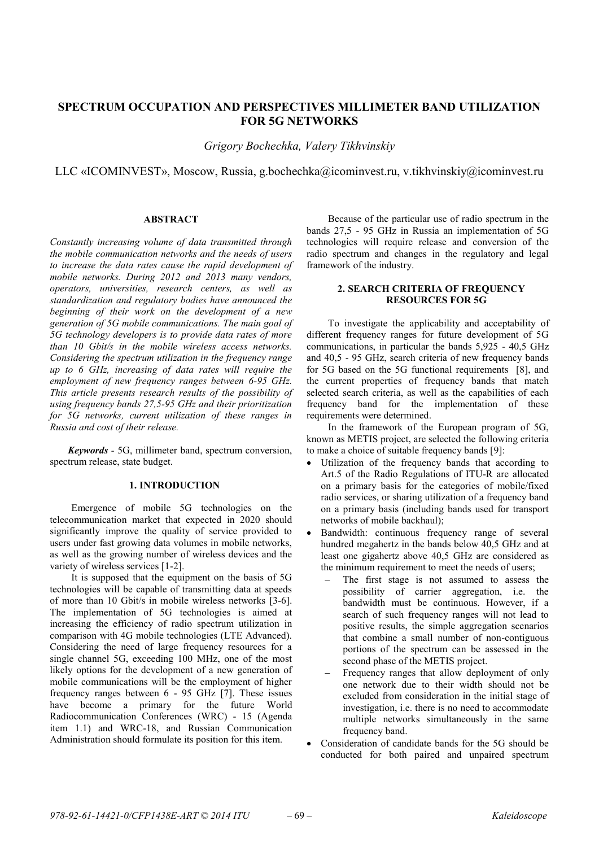# **SPECTRUM OCCUPATION AND PERSPECTIVES MILLIMETER BAND UTILIZATION FOR 5G NETWORKS**

*Grigory Bochechka, Valery Tikhvinskiy*

LLC «ICOMINVEST», Moscow, Russia, g.bochechka@icominvest.ru, v.tikhvinskiy@icominvest.ru

# **ABSTRACT**

*Constantly increasing volume of data transmitted through the mobile communication networks and the needs of users to increase the data rates cause the rapid development of mobile networks. During 2012 and 2013 many vendors, operators, universities, research centers, as well as standardization and regulatory bodies have announced the beginning of their work on the development of a new generation of 5G mobile communications. The main goal of 5G technology developers is to provide data rates of more than 10 Gbit/s in the mobile wireless access networks. Considering the spectrum utilization in the frequency range up to 6 GHz, increasing of data rates will require the employment of new frequency ranges between 6-95 GHz. This article presents research results of the possibility of using frequency bands 27,5-95 GHz and their prioritization for 5G networks, current utilization of these ranges in Russia and cost of their release.* 

*Keywords -* 5G, millimeter band, spectrum conversion, spectrum release, state budget.

## **1. INTRODUCTION**

Emergence of mobile 5G technologies on the telecommunication market that expected in 2020 should significantly improve the quality of service provided to users under fast growing data volumes in mobile networks, as well as the growing number of wireless devices and the variety of wireless services [1-2].

It is supposed that the equipment on the basis of 5G technologies will be capable of transmitting data at speeds of more than 10 Gbit/s in mobile wireless networks [3-6]. The implementation of 5G technologies is aimed at increasing the efficiency of radio spectrum utilization in comparison with 4G mobile technologies (LTE Advanced). Considering the need of large frequency resources for a single channel 5G, exceeding 100 MHz, one of the most likely options for the development of a new generation of mobile communications will be the employment of higher frequency ranges between 6 - 95 GHz [7]. These issues have become a primary for the future World Radiocommunication Conferences (WRC) - 15 (Agenda item 1.1) and WRC-18, and Russian Communication Administration should formulate its position for this item.

Because of the particular use of radio spectrum in the bands 27,5 - 95 GHz in Russia an implementation of 5G technologies will require release and conversion of the radio spectrum and changes in the regulatory and legal framework of the industry.

## **2. SEARCH CRITERIA OF FREQUENCY RESOURCES FOR 5G**

To investigate the applicability and acceptability of different frequency ranges for future development of 5G communications, in particular the bands 5,925 - 40,5 GHz and 40,5 - 95 GHz, search criteria of new frequency bands for 5G based on the 5G functional requirements [8], and the current properties of frequency bands that match selected search criteria, as well as the capabilities of each frequency band for the implementation of these requirements were determined.

In the framework of the European program of 5G, known as METIS project, are selected the following criteria to make a choice of suitable frequency bands [9]:

- Utilization of the frequency bands that according to Art.5 of the Radio Regulations of ITU-R are allocated on a primary basis for the categories of mobile/fixed radio services, or sharing utilization of a frequency band on a primary basis (including bands used for transport networks of mobile backhaul);
- Bandwidth: continuous frequency range of several hundred megahertz in the bands below 40,5 GHz and at least one gigahertz above 40,5 GHz are considered as the minimum requirement to meet the needs of users;
	- The first stage is not assumed to assess the possibility of carrier aggregation, i.e. the bandwidth must be continuous. However, if a search of such frequency ranges will not lead to positive results, the simple aggregation scenarios that combine a small number of non-contiguous portions of the spectrum can be assessed in the second phase of the METIS project.
	- Frequency ranges that allow deployment of only one network due to their width should not be excluded from consideration in the initial stage of investigation, i.e. there is no need to accommodate multiple networks simultaneously in the same frequency band.
- Consideration of candidate bands for the 5G should be conducted for both paired and unpaired spectrum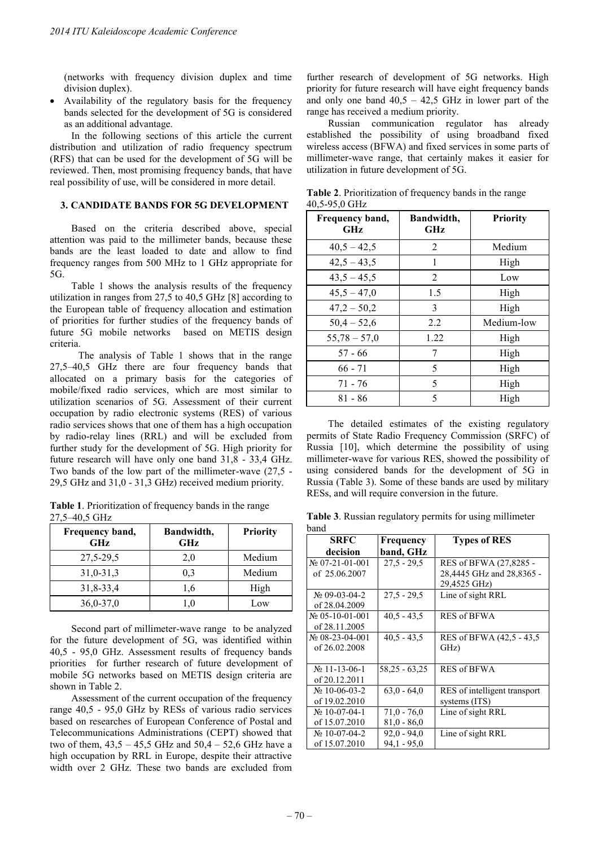(networks with frequency division duplex and time division duplex).

 Availability of the regulatory basis for the frequency bands selected for the development of 5G is considered as an additional advantage.

In the following sections of this article the current distribution and utilization of radio frequency spectrum (RFS) that can be used for the development of 5G will be reviewed. Then, most promising frequency bands, that have real possibility of use, will be considered in more detail.

## **3. CANDIDATE BANDS FOR 5G DEVELOPMENT**

Based on the criteria described above, special attention was paid to the millimeter bands, because these bands are the least loaded to date and allow to find frequency ranges from 500 MHz to 1 GHz appropriate for 5G.

Table 1 shows the analysis results of the frequency utilization in ranges from 27,5 to 40,5 GHz [8] according to the European table of frequency allocation and estimation of priorities for further studies of the frequency bands of future 5G mobile networks based on METIS design criteria.

The analysis of Table 1 shows that in the range 27,5–40,5 GHz there are four frequency bands that allocated on a primary basis for the categories of mobile/fixed radio services, which are most similar to utilization scenarios of 5G. Assessment of their current occupation by radio electronic systems (RES) of various radio services shows that one of them has a high occupation by radio-relay lines (RRL) and will be excluded from further study for the development of 5G. High priority for future research will have only one band 31,8 - 33,4 GHz. Two bands of the low part of the millimeter-wave (27,5 - 29,5 GHz and 31,0 - 31,3 GHz) received medium priority.

**Table 1**. Prioritization of frequency bands in the range 27,5–40,5 GHz

| Frequency band,<br><b>GHz</b> | Bandwidth,<br>GHz | <b>Priority</b> |
|-------------------------------|-------------------|-----------------|
| 27,5-29,5                     | 2,0               | Medium          |
| 31,0-31,3                     | 0.3               | Medium          |
| 31,8-33,4                     | 1.6               | High            |
| $36,0-37,0$                   | $0_{11}$          | Low             |

Second part of millimeter-wave range to be analyzed for the future development of 5G, was identified within 40,5 - 95,0 GHz. Assessment results of frequency bands priorities for further research of future development of mobile 5G networks based on METIS design criteria are shown in Table 2.

Assessment of the current occupation of the frequency range 40,5 - 95,0 GHz by RESs of various radio services based on researches of European Conference of Postal and Telecommunications Administrations (CEPT) showed that two of them,  $43,5 - 45,5$  GHz and  $50,4 - 52,6$  GHz have a high occupation by RRL in Europe, despite their attractive width over 2 GHz. These two bands are excluded from

further research of development of 5G networks. High priority for future research will have eight frequency bands and only one band  $40,5 - 42,5$  GHz in lower part of the range has received a medium priority.

Russian communication regulator has already established the possibility of using broadband fixed wireless access (BFWA) and fixed services in some parts of millimeter-wave range, that certainly makes it easier for utilization in future development of 5G.

| Frequency band,<br>GHz | Bandwidth,<br>GHz | <b>Priority</b> |
|------------------------|-------------------|-----------------|
| $40,5 - 42,5$          | 2                 | Medium          |
| $42,5 - 43,5$          | 1                 | High            |
| $43,5 - 45,5$          | 2                 | Low             |
| $45,5 - 47,0$          | 1.5               | High            |
| $47,2 - 50,2$          | 3                 | High            |
| $50,4 - 52,6$          | 2.2               | Medium-low      |
| $55,78 - 57,0$         | 1.22              | High            |
| $57 - 66$              | 7                 | High            |
| $66 - 71$              | 5                 | High            |
| $71 - 76$              | 5                 | High            |
| $81 - 86$              | 5                 | High            |

**Table 2**. Prioritization of frequency bands in the range 40,5-95,0 GHz

The detailed estimates of the existing regulatory permits of State Radio Frequency Commission (SRFC) of Russia [10], which determine the possibility of using millimeter-wave for various RES, showed the possibility of using considered bands for the development of 5G in Russia (Table 3). Some of these bands are used by military RESs, and will require conversion in the future.

**Table 3**. Russian regulatory permits for using millimeter band

| <b>SRFC</b>        | Frequency     | <b>Types of RES</b>          |
|--------------------|---------------|------------------------------|
| decision           | band, GHz     |                              |
| $N2$ 07-21-01-001  | $27.5 - 29.5$ | RES of BFWA (27,8285 -       |
| of 25.06.2007      |               | 28,4445 GHz and 28,8365 -    |
|                    |               | 29,4525 GHz)                 |
| $N2$ 09-03-04-2    | $27.5 - 29.5$ | Line of sight RRL            |
| of 28,04,2009      |               |                              |
| $N2$ 05-10-01-001  | $40.5 - 43.5$ | <b>RES of BFWA</b>           |
| of 28.11.2005      |               |                              |
| $N_2$ 08-23-04-001 | $40.5 - 43.5$ | RES of BFWA (42.5 - 43.5)    |
| of 26.02.2008      |               | GHz)                         |
|                    |               |                              |
| $N_2$ 11-13-06-1   | 58,25 - 63,25 | <b>RES of BFWA</b>           |
| of 20.12.2011      |               |                              |
| $N_2$ 10-06-03-2   | $63.0 - 64.0$ | RES of intelligent transport |
| of 19.02.2010      |               | systems (ITS)                |
| $N_2$ 10-07-04-1   | $71.0 - 76.0$ | Line of sight RRL            |
| of 15.07.2010      | $81.0 - 86.0$ |                              |
| $N_2$ 10-07-04-2   | $92.0 - 94.0$ | Line of sight RRL            |
| of 15.07.2010      | $94.1 - 95.0$ |                              |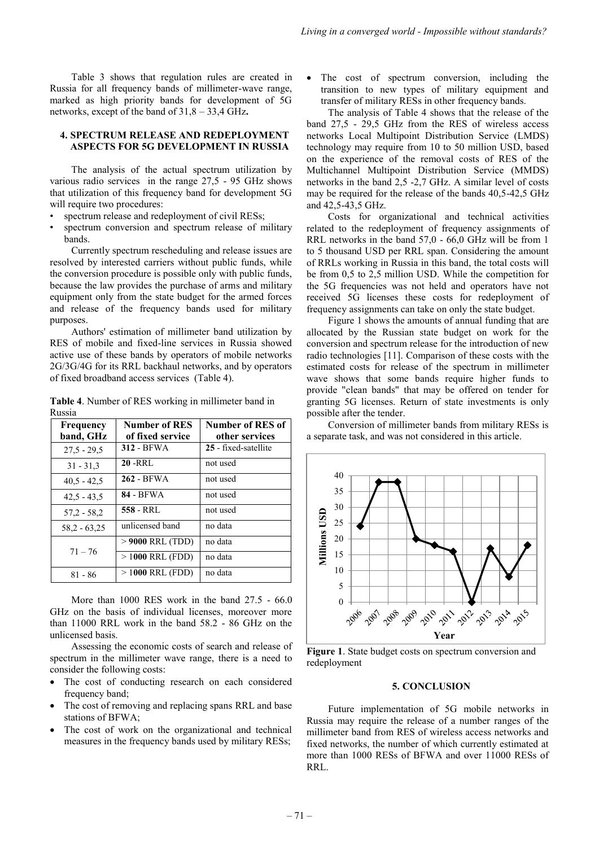Table 3 shows that regulation rules are created in Russia for all frequency bands of millimeter-wave range, marked as high priority bands for development of 5G networks, except of the band of 31,8 – 33,4 GHz**.** 

### **4. SPECTRUM RELEASE AND REDEPLOYMENT ASPECTS FOR 5G DEVELOPMENT IN RUSSIA**

The analysis of the actual spectrum utilization by various radio services in the range 27,5 - 95 GHz shows that utilization of this frequency band for development 5G will require two procedures:

- spectrum release and redeployment of civil RESs;
- spectrum conversion and spectrum release of military bands.

Currently spectrum rescheduling and release issues are resolved by interested carriers without public funds, while the conversion procedure is possible only with public funds, because the law provides the purchase of arms and military equipment only from the state budget for the armed forces and release of the frequency bands used for military purposes.

Authors' estimation of millimeter band utilization by RES of mobile and fixed-line services in Russia showed active use of these bands by operators of mobile networks 2G/3G/4G for its RRL backhaul networks, and by operators of fixed broadband access services (Table 4).

**Table 4**. Number of RES working in millimeter band in Russia

| Frequency<br>band, GHz | <b>Number of RES</b><br>of fixed service | Number of RES of<br>other services |
|------------------------|------------------------------------------|------------------------------------|
| $27.5 - 29.5$          | 312 - BFWA                               | 25 - fixed-satellite               |
| $31 - 31.3$            | $20 - RRL$                               | not used                           |
| $40.5 - 42.5$          | 262 - BFWA                               | not used                           |
| $42.5 - 43.5$          | 84 - BFWA                                | not used                           |
| $57.2 - 58.2$          | 558 - RRL                                | not used                           |
| $58.2 - 63.25$         | unlicensed band                          | no data                            |
| $71 - 76$              | $>$ 9000 RRL (TDD)                       | no data                            |
|                        | $>1000$ RRL (FDD)                        | no data                            |
| $81 - 86$              | $>1000$ RRL (FDD)                        | no data                            |

More than 1000 RES work in the band 27.5 - 66.0 GHz on the basis of individual licenses, moreover more than 11000 RRL work in the band 58.2 - 86 GHz on the unlicensed basis.

Assessing the economic costs of search and release of spectrum in the millimeter wave range, there is a need to consider the following costs:

- The cost of conducting research on each considered frequency band;
- The cost of removing and replacing spans RRL and base stations of BFWA;
- The cost of work on the organizational and technical measures in the frequency bands used by military RESs;

 The cost of spectrum conversion, including the transition to new types of military equipment and transfer of military RESs in other frequency bands.

The analysis of Table 4 shows that the release of the band 27,5 - 29,5 GHz from the RES of wireless access networks Local Multipoint Distribution Service (LMDS) technology may require from 10 to 50 million USD, based on the experience of the removal costs of RES of the Multichannel Multipoint Distribution Service (MMDS) networks in the band 2,5 -2,7 GHz. A similar level of costs may be required for the release of the bands 40,5-42,5 GHz and 42,5-43,5 GHz.

Costs for organizational and technical activities related to the redeployment of frequency assignments of RRL networks in the band 57,0 - 66,0 GHz will be from 1 to 5 thousand USD per RRL span. Considering the amount of RRLs working in Russia in this band, the total costs will be from 0,5 to 2,5 million USD. While the competition for the 5G frequencies was not held and operators have not received 5G licenses these costs for redeployment of frequency assignments can take on only the state budget.

Figure 1 shows the amounts of annual funding that are allocated by the Russian state budget on work for the conversion and spectrum release for the introduction of new radio technologies [11]. Comparison of these costs with the estimated costs for release of the spectrum in millimeter wave shows that some bands require higher funds to provide "clean bands" that may be offered on tender for granting 5G licenses. Return of state investments is only possible after the tender.

Conversion of millimeter bands from military RESs is a separate task, and was not considered in this article.



**Figure 1**. State budget costs on spectrum conversion and redeployment

#### **5. CONCLUSION**

Future implementation of 5G mobile networks in Russia may require the release of a number ranges of the millimeter band from RES of wireless access networks and fixed networks, the number of which currently estimated at more than 1000 RESs of BFWA and over 11000 RESs of RRL.